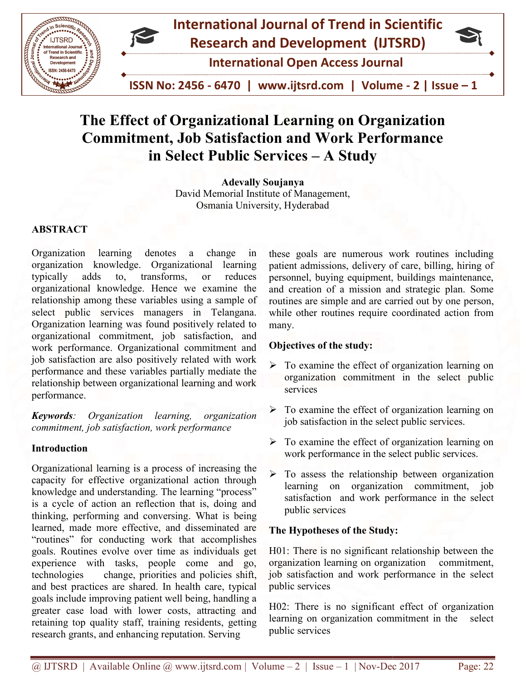

# The Effect of Organizational Learning on Organization Commitment, Job Satisfaction and Work Performance<br>in Select Public Services – A Study in Select Public Services

David Memorial Institute of Management, David Memorial Management, Osmania Osmania University, Hyderabad Adevally Soujanya

# ABSTRACT

Organization learning denotes a change in organization knowledge. Organizational learning typically adds to, transforms, or reduces organizational knowledge. Hence we examine the relationship among these variables using a sample of select public services managers in Telangana. Organization learning was found positively related to organizational commitment, job satisfaction, and work performance. Organizational commitment and job satisfaction are also positively related with work performance and these variables partially mediate the relationship between organizational learning and work performance. Organization learning denotes a change in organization knowledge. Organizational learning typically adds to, transforms, or reduces organizational knowledge. Hence we examine the relationship among these variables using a

Keywords: Organization learning, organization commitment, job satisfaction, work performance

## Introduction

Organizational learning is a process of increasing the capacity for effective organizational action through knowledge and understanding. The learning "process" is a cycle of action an reflection that is, doing and thinking, performing and conversing. What is being learned, made more effective, and disseminated are "routines" for conducting work that accomplishes goals. Routines evolve over time as individuals get experience with tasks, people come and go, technologies change, priorities and policies shift, and best practices are shared. In health care, typical goals include improving patient well being, handling a greater case load with lower costs, attracting and retaining top quality staff, training residents, getting research grants, and enhancing reputation. Serving Organizational learning is a process of increasing the capacity for effective organizational action through knowledge and understanding. The learning "process" is a cycle of action an reflection that is, doing and thinking ming danotes a change in these goals are numerous work routines including<br>widely. Organizational Learning patient admissions, delivery of care, billing, hring of<br>to, transforms, or reduces personnel, buying equipment, bui

patient admissions, delivery of care, billing, hiring of personnel, buying equipment, buildings maintenance, and creation of a mission and strategic plan. Some routines are simple and are carried out by one person, while other routines require coordinated action from many. external are numerous work routines including<br>ant admissions, delivery of care, billing, hiring of<br>ponnel, buying equipment, buildings maintenance,<br>creation of a mission and strategic plan. Some<br>nes are simple and are carr

# Objectives of the study:

- $\triangleright$  To examine the effect of organization learning on organization commitment in the select public services other routines require coordinated action from<br>tives of the study:<br>examine the effect of organization learning on<br>ganization commitment in the select public<br>vices<br>examine the effect of organization learning on<br>satisfaction
- $\triangleright$  To examine the effect of organization learning on job satisfaction in the select public services.
- $\triangleright$  To examine the effect of organization learning on work performance in the select public services.
- $\triangleright$  To assess the relationship between organization learning on organization commitment, job satisfaction and work performance in the select public services

# The Hypotheses of the Study:

H01: There is no significant relationship between the organization learning on organization commitment, job satisfaction and work performance in the select public services no significant relationship between the<br>earning on organization commitment,<br>on and work performance in the select<br>s<br>s no significant effect of organization<br>rganization commitment in the select

H02: There is no significant effect of organization learning on organization commitment in the select public services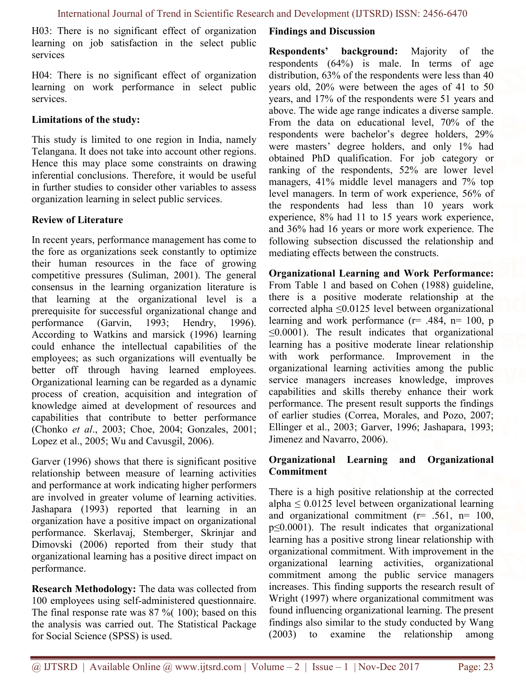H03: There is no significant effect of organization learning on job satisfaction in the select public services

H04: There is no significant effect of organization learning on work performance in select public services.

#### Limitations of the study:

This study is limited to one region in India, namely Telangana. It does not take into account other regions. Hence this may place some constraints on drawing inferential conclusions. Therefore, it would be useful in further studies to consider other variables to assess organization learning in select public services.

## Review of Literature

In recent years, performance management has come to the fore as organizations seek constantly to optimize their human resources in the face of growing competitive pressures (Suliman, 2001). The general consensus in the learning organization literature is that learning at the organizational level is a prerequisite for successful organizational change and performance (Garvin, 1993; Hendry, 1996). According to Watkins and marsick (1996) learning could enhance the intellectual capabilities of the employees; as such organizations will eventually be better off through having learned employees. Organizational learning can be regarded as a dynamic process of creation, acquisition and integration of knowledge aimed at development of resources and capabilities that contribute to better performance (Chonko et al., 2003; Choe, 2004; Gonzales, 2001; Lopez et al., 2005; Wu and Cavusgil, 2006).

Garver (1996) shows that there is significant positive relationship between measure of learning activities and performance at work indicating higher performers are involved in greater volume of learning activities. Jashapara (1993) reported that learning in an organization have a positive impact on organizational performance. Skerlavaj, Stemberger, Skrinjar and Dimovski (2006) reported from their study that organizational learning has a positive direct impact on performance.

Research Methodology: The data was collected from 100 employees using self-administered questionnaire. The final response rate was  $87 \%$  (100); based on this the analysis was carried out. The Statistical Package for Social Science (SPSS) is used.

#### Findings and Discussion

Respondents' background: Majority of the respondents (64%) is male. In terms of age distribution, 63% of the respondents were less than 40 years old, 20% were between the ages of 41 to 50 years, and 17% of the respondents were 51 years and above. The wide age range indicates a diverse sample. From the data on educational level, 70% of the respondents were bachelor's degree holders, 29% were masters' degree holders, and only 1% had obtained PhD qualification. For job category or ranking of the respondents, 52% are lower level managers, 41% middle level managers and 7% top level managers. In term of work experience, 56% of the respondents had less than 10 years work experience, 8% had 11 to 15 years work experience, and 36% had 16 years or more work experience. The following subsection discussed the relationship and mediating effects between the constructs.

Organizational Learning and Work Performance: From Table 1 and based on Cohen (1988) guideline, there is a positive moderate relationship at the corrected alpha ≤0.0125 level between organizational learning and work performance  $(r= .484, n= 100, p)$  $\leq 0.0001$ ). The result indicates that organizational learning has a positive moderate linear relationship with work performance. Improvement in the organizational learning activities among the public service managers increases knowledge, improves capabilities and skills thereby enhance their work performance. The present result supports the findings of earlier studies (Correa, Morales, and Pozo, 2007; Ellinger et al., 2003; Garver, 1996; Jashapara, 1993; Jimenez and Navarro, 2006).

## Organizational Learning and Organizational Commitment

There is a high positive relationship at the corrected alpha  $\leq 0.0125$  level between organizational learning and organizational commitment  $(r= .561, n= 100,$ p≤0.0001). The result indicates that organizational learning has a positive strong linear relationship with organizational commitment. With improvement in the organizational learning activities, organizational commitment among the public service managers increases. This finding supports the research result of Wright (1997) where organizational commitment was found influencing organizational learning. The present findings also similar to the study conducted by Wang (2003) to examine the relationship among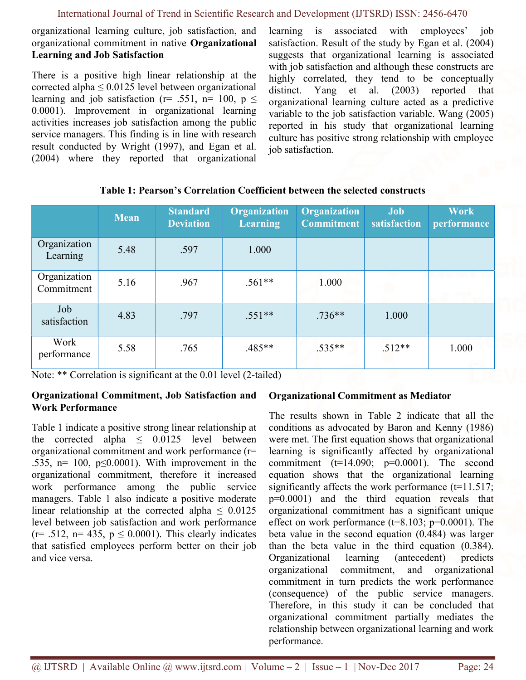## International Journal of Trend in Scientific Research and Development (IJTSRD) ISSN: 2456-6470

organizational learning culture, job satisfaction, and organizational commitment in native Organizational Learning and Job Satisfaction

There is a positive high linear relationship at the corrected alpha  $\leq 0.0125$  level between organizational learning and job satisfaction (r= .551, n= 100,  $p \le$ 0.0001). Improvement in organizational learning activities increases job satisfaction among the public service managers. This finding is in line with research result conducted by Wright (1997), and Egan et al. (2004) where they reported that organizational learning is associated with employees' job satisfaction. Result of the study by Egan et al. (2004) suggests that organizational learning is associated with job satisfaction and although these constructs are highly correlated, they tend to be conceptually distinct. Yang et al. (2003) reported that organizational learning culture acted as a predictive variable to the job satisfaction variable. Wang (2005) reported in his study that organizational learning culture has positive strong relationship with employee job satisfaction.

|                            | <b>Mean</b> | <b>Standard</b><br><b>Deviation</b> | <b>Organization</b><br><b>Learning</b> | <b>Organization</b><br><b>Commitment</b> | <b>Job</b><br>satisfaction | <b>Work</b><br>performance |
|----------------------------|-------------|-------------------------------------|----------------------------------------|------------------------------------------|----------------------------|----------------------------|
| Organization<br>Learning   | 5.48        | .597                                | 1.000                                  |                                          |                            |                            |
| Organization<br>Commitment | 5.16        | .967                                | $.561**$                               | 1.000                                    |                            | <b>CONTRACTOR</b>          |
| Job<br>satisfaction        | 4.83        | .797                                | $.551**$                               | $.736**$                                 | 1.000                      |                            |
| Work<br>performance        | 5.58        | .765                                | $.485**$                               | $.535**$                                 | $.512**$                   | 1.000                      |

Table 1: Pearson's Correlation Coefficient between the selected constructs

Note: \*\* Correlation is significant at the 0.01 level (2-tailed)

## Organizational Commitment, Job Satisfaction and Work Performance

Table 1 indicate a positive strong linear relationship at the corrected alpha  $\leq$  0.0125 level between organizational commitment and work performance (r= .535,  $n= 100$ ,  $p \le 0.0001$ ). With improvement in the organizational commitment, therefore it increased work performance among the public service managers. Table 1 also indicate a positive moderate linear relationship at the corrected alpha  $\leq 0.0125$ level between job satisfaction and work performance  $(r= .512, n= 435, p \le 0.0001)$ . This clearly indicates that satisfied employees perform better on their job and vice versa.

# Organizational Commitment as Mediator

The results shown in Table 2 indicate that all the conditions as advocated by Baron and Kenny (1986) were met. The first equation shows that organizational learning is significantly affected by organizational commitment  $(t=14.090; p=0.0001)$ . The second equation shows that the organizational learning significantly affects the work performance  $(t=11.517)$ ; p=0.0001) and the third equation reveals that organizational commitment has a significant unique effect on work performance  $(t=8.103; p=0.0001)$ . The beta value in the second equation (0.484) was larger than the beta value in the third equation (0.384). Organizational learning (antecedent) predicts organizational commitment, and organizational commitment in turn predicts the work performance (consequence) of the public service managers. Therefore, in this study it can be concluded that organizational commitment partially mediates the relationship between organizational learning and work performance.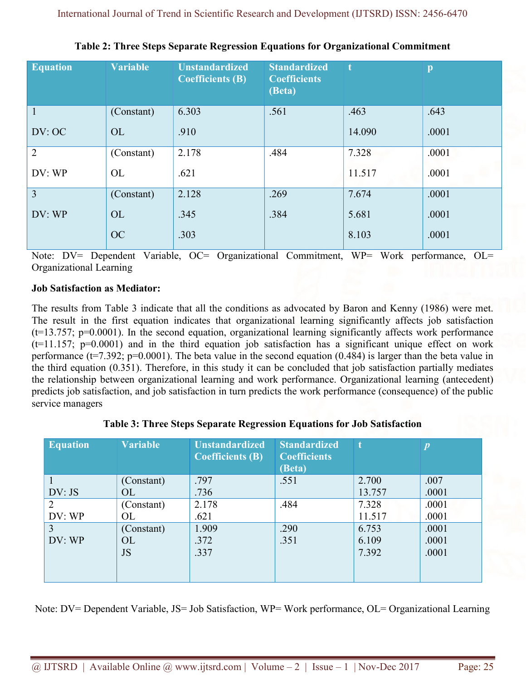| <b>Equation</b> | <b>Variable</b> | <b>Unstandardized</b><br><b>Coefficients (B)</b> | <b>Standardized</b><br><b>Coefficients</b><br>(Beta) | -t     | p     |
|-----------------|-----------------|--------------------------------------------------|------------------------------------------------------|--------|-------|
| $\overline{1}$  | (Constant)      | 6.303                                            | .561                                                 | .463   | .643  |
| DV: OC          | <b>OL</b>       | .910                                             |                                                      | 14.090 | .0001 |
| $\overline{2}$  | (Constant)      | 2.178                                            | .484                                                 | 7.328  | .0001 |
| DV: WP          | <b>OL</b>       | .621                                             |                                                      | 11.517 | .0001 |
| $\overline{3}$  | (Constant)      | 2.128                                            | .269                                                 | 7.674  | .0001 |
| DV: WP          | <b>OL</b>       | .345                                             | .384                                                 | 5.681  | .0001 |
|                 | <b>OC</b>       | .303                                             |                                                      | 8.103  | .0001 |

Table 2: Three Steps Separate Regression Equations for Organizational Commitment

Note: DV= Dependent Variable, OC= Organizational Commitment, WP= Work performance, OL= Organizational Learning

# Job Satisfaction as Mediator:

The results from Table 3 indicate that all the conditions as advocated by Baron and Kenny (1986) were met. The result in the first equation indicates that organizational learning significantly affects job satisfaction  $(t=13.757; p=0.0001)$ . In the second equation, organizational learning significantly affects work performance  $(t=11.157; p=0.0001)$  and in the third equation job satisfaction has a significant unique effect on work performance ( $t=7.392$ ;  $p=0.0001$ ). The beta value in the second equation (0.484) is larger than the beta value in the third equation (0.351). Therefore, in this study it can be concluded that job satisfaction partially mediates the relationship between organizational learning and work performance. Organizational learning (antecedent) predicts job satisfaction, and job satisfaction in turn predicts the work performance (consequence) of the public service managers

| <b>Equation</b> | <b>Variable</b> | <b>Unstandardized</b><br><b>Coefficients (B)</b> | <b>Standardized</b><br><b>Coefficients</b><br>(Beta) | t      | $\boldsymbol{p}$ |
|-----------------|-----------------|--------------------------------------------------|------------------------------------------------------|--------|------------------|
|                 | (Constant)      | .797                                             | .551                                                 | 2.700  | .007             |
| DV: JS          | OL              | .736                                             |                                                      | 13.757 | .0001            |
| $\overline{2}$  | (Constant)      | 2.178                                            | .484                                                 | 7.328  | .0001            |
| DV: WP          | OL              | .621                                             |                                                      | 11.517 | .0001            |
| $\overline{3}$  | (Constant)      | 1.909                                            | .290                                                 | 6.753  | .0001            |
| DV: WP          | <b>OL</b>       | .372                                             | .351                                                 | 6.109  | .0001            |
|                 | <b>JS</b>       | .337                                             |                                                      | 7.392  | .0001            |
|                 |                 |                                                  |                                                      |        |                  |

# Table 3: Three Steps Separate Regression Equations for Job Satisfaction

Note: DV= Dependent Variable, JS= Job Satisfaction, WP= Work performance, OL= Organizational Learning